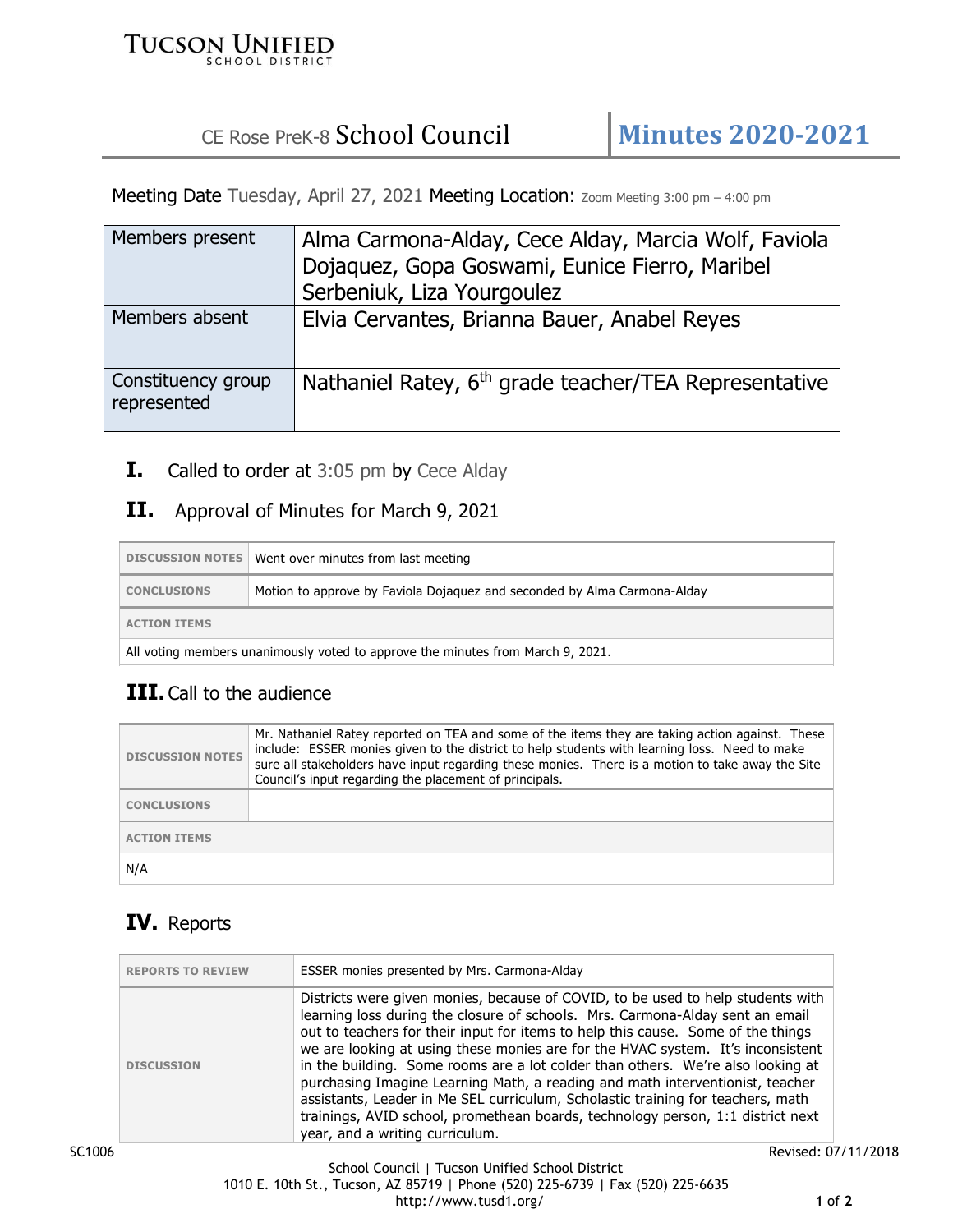#### **TUCSON UNIFIED SCHOOL DISTRICT**

# CE Rose PreK-8 School Council **Minutes 2020-2021**

Meeting Date Tuesday, April 27, 2021 Meeting Location: Zoom Meeting 3:00 pm - 4:00 pm

| Members present                   | Alma Carmona-Alday, Cece Alday, Marcia Wolf, Faviola              |
|-----------------------------------|-------------------------------------------------------------------|
|                                   | Dojaquez, Gopa Goswami, Eunice Fierro, Maribel                    |
|                                   | Serbeniuk, Liza Yourgoulez                                        |
| Members absent                    | Elvia Cervantes, Brianna Bauer, Anabel Reyes                      |
| Constituency group<br>represented | Nathaniel Ratey, 6 <sup>th</sup> grade teacher/TEA Representative |

**I.** Called to order at 3:05 pm by Cece Alday

#### **II.** Approval of Minutes for March 9, 2021

|                                                                                 | DISCUSSION NOTES   Went over minutes from last meeting                   |
|---------------------------------------------------------------------------------|--------------------------------------------------------------------------|
| <b>CONCLUSIONS</b>                                                              | Motion to approve by Faviola Dojaguez and seconded by Alma Carmona-Alday |
| <b>ACTION ITEMS</b>                                                             |                                                                          |
| All voting members unanimously voted to approve the minutes from March 9, 2021. |                                                                          |

## **III.** Call to the audience

| <b>DISCUSSION NOTES</b> | Mr. Nathaniel Ratey reported on TEA and some of the items they are taking action against. These<br>include: ESSER monies given to the district to help students with learning loss. Need to make<br>sure all stakeholders have input regarding these monies. There is a motion to take away the Site<br>Council's input regarding the placement of principals. |
|-------------------------|----------------------------------------------------------------------------------------------------------------------------------------------------------------------------------------------------------------------------------------------------------------------------------------------------------------------------------------------------------------|
| <b>CONCLUSIONS</b>      |                                                                                                                                                                                                                                                                                                                                                                |
| <b>ACTION ITEMS</b>     |                                                                                                                                                                                                                                                                                                                                                                |
| N/A                     |                                                                                                                                                                                                                                                                                                                                                                |

# **IV.** Reports

| Districts were given monies, because of COVID, to be used to help students with<br>learning loss during the closure of schools. Mrs. Carmona-Alday sent an email<br>out to teachers for their input for items to help this cause. Some of the things<br>we are looking at using these monies are for the HVAC system. It's inconsistent<br>in the building. Some rooms are a lot colder than others. We're also looking at<br><b>DISCUSSION</b><br>purchasing Imagine Learning Math, a reading and math interventionist, teacher<br>assistants, Leader in Me SEL curriculum, Scholastic training for teachers, math<br>trainings, AVID school, promethean boards, technology person, 1:1 district next |
|--------------------------------------------------------------------------------------------------------------------------------------------------------------------------------------------------------------------------------------------------------------------------------------------------------------------------------------------------------------------------------------------------------------------------------------------------------------------------------------------------------------------------------------------------------------------------------------------------------------------------------------------------------------------------------------------------------|
| year, and a writing curriculum.                                                                                                                                                                                                                                                                                                                                                                                                                                                                                                                                                                                                                                                                        |